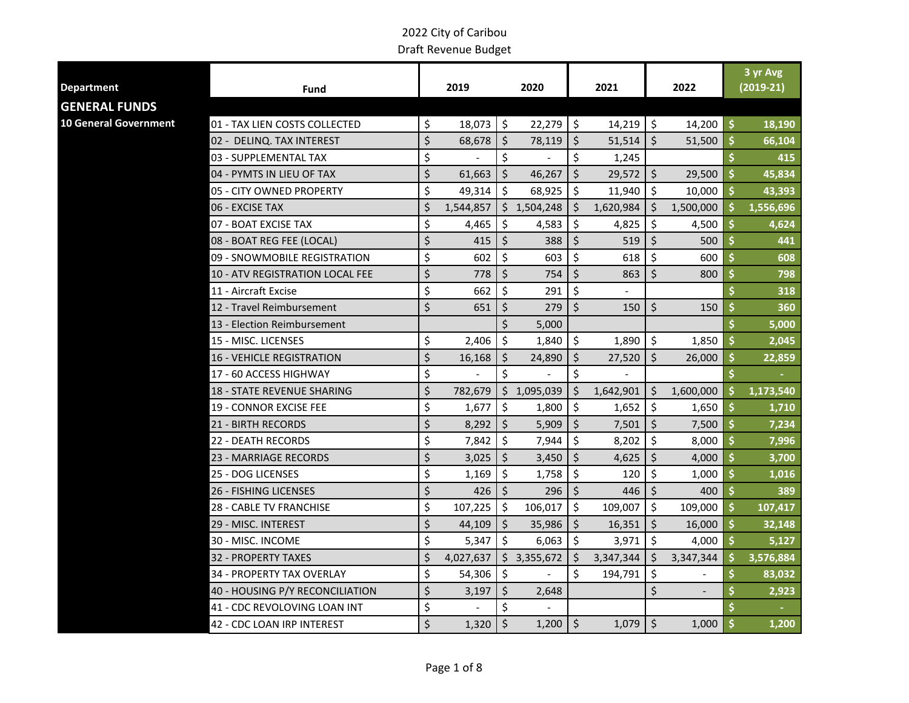|                              |                                        |                 |                    |             |                     |           |         |           |    |             |  |  |  | 3 yr Avg |
|------------------------------|----------------------------------------|-----------------|--------------------|-------------|---------------------|-----------|---------|-----------|----|-------------|--|--|--|----------|
| <b>Department</b>            | Fund                                   | 2019            |                    | 2020        |                     | 2021      |         | 2022      |    | $(2019-21)$ |  |  |  |          |
| <b>GENERAL FUNDS</b>         |                                        |                 |                    |             |                     |           |         |           |    |             |  |  |  |          |
| <b>10 General Government</b> | 01 - TAX LIEN COSTS COLLECTED          | \$<br>18,073    | \$                 | 22,279      | $\ddot{\mathsf{S}}$ | 14,219    | \$      | 14,200    | \$ | 18,190      |  |  |  |          |
|                              | 02 - DELINQ. TAX INTEREST              | \$<br>68,678    | $\zeta$            | 78,119      | \$                  | 51,514    | Ś.      | 51,500    | Ś  | 66,104      |  |  |  |          |
|                              | 03 - SUPPLEMENTAL TAX                  | \$              | \$                 |             | \$                  | 1,245     |         |           |    | 415         |  |  |  |          |
|                              | 04 - PYMTS IN LIEU OF TAX              | \$<br>61,663    | $\zeta$            | 46,267      | \$                  | 29,572    | \$      | 29,500    | \$ | 45,834      |  |  |  |          |
|                              | 05 - CITY OWNED PROPERTY               | \$<br>49,314    | Ŝ.                 | 68,925      | $\zeta$             | 11,940    | $\zeta$ | 10,000    | \$ | 43,393      |  |  |  |          |
|                              | 06 - EXCISE TAX                        | \$<br>1,544,857 |                    | \$1,504,248 | \$                  | 1,620,984 | \$      | 1,500,000 | Ś. | 1,556,696   |  |  |  |          |
|                              | 07 - BOAT EXCISE TAX                   | \$<br>4,465     | $\zeta$            | 4,583       | \$                  | 4,825     | \$      | 4,500     | S  | 4,624       |  |  |  |          |
|                              | 08 - BOAT REG FEE (LOCAL)              | \$<br>415       | \$                 | 388         | \$                  | 519       | \$      | 500       | Ś  | 441         |  |  |  |          |
|                              | 09 - SNOWMOBILE REGISTRATION           | \$<br>602       | \$                 | 603         | \$                  | 618       | \$      | 600       | \$ | 608         |  |  |  |          |
|                              | <b>10 - ATV REGISTRATION LOCAL FEE</b> | \$<br>778       | $\zeta$            | 754         | $\zeta$             | 863       | $\zeta$ | 800       | Ś  | 798         |  |  |  |          |
|                              | 11 - Aircraft Excise                   | \$<br>662       | $\mathsf{\dot{S}}$ | 291         | \$                  |           |         |           | Ś  | 318         |  |  |  |          |
|                              | 12 - Travel Reimbursement              | \$<br>651       | \$                 | 279         | \$                  | 150       | \$      | 150       | \$ | 360         |  |  |  |          |
|                              | 13 - Election Reimbursement            |                 | \$                 | 5,000       |                     |           |         |           |    | 5,000       |  |  |  |          |
|                              | 15 - MISC. LICENSES                    | \$<br>2,406     | -\$                | 1,840       | \$                  | 1,890     | \$      | 1,850     | \$ | 2,045       |  |  |  |          |
|                              | <b>16 - VEHICLE REGISTRATION</b>       | \$<br>16,168    | -\$                | 24,890      | \$                  | 27,520    | \$      | 26,000    | S  | 22,859      |  |  |  |          |
|                              | 17 - 60 ACCESS HIGHWAY                 | \$              | \$                 |             | \$                  |           |         |           | \$ |             |  |  |  |          |
|                              | <b>18 - STATE REVENUE SHARING</b>      | \$<br>782,679   | \$                 | 1,095,039   | \$                  | 1,642,901 | \$.     | 1,600,000 | Ś  | 1,173,540   |  |  |  |          |
|                              | <b>19 - CONNOR EXCISE FEE</b>          | \$<br>1,677     | \$                 | 1,800       | \$                  | 1,652     | \$      | 1,650     | Ŝ  | 1,710       |  |  |  |          |
|                              | 21 - BIRTH RECORDS                     | \$<br>8,292     | \$                 | 5,909       | $\zeta$             | 7,501     | Ś       | 7,500     | \$ | 7,234       |  |  |  |          |
|                              | <b>22 - DEATH RECORDS</b>              | \$<br>7,842     | Ŝ.                 | 7,944       | \$                  | 8,202     | \$      | 8,000     | \$ | 7,996       |  |  |  |          |
|                              | <b>23 - MARRIAGE RECORDS</b>           | \$<br>3,025     | \$                 | 3,450       | $\zeta$             | 4,625     | \$      | 4,000     | \$ | 3,700       |  |  |  |          |
|                              | 25 - DOG LICENSES                      | \$<br>1,169     | -\$                | 1,758       | \$                  | 120       | \$      | 1,000     | \$ | 1,016       |  |  |  |          |
|                              | 26 - FISHING LICENSES                  | \$<br>426       | \$                 | 296         | \$                  | 446       | \$      | 400       | \$ | 389         |  |  |  |          |
|                              | 28 - CABLE TV FRANCHISE                | \$<br>107,225   | -Ś                 | 106,017     | \$                  | 109,007   | \$      | 109,000   | Ŝ  | 107,417     |  |  |  |          |
|                              | 29 - MISC. INTEREST                    | \$<br>44,109    | Ŝ.                 | 35,986      | $\zeta$             | 16,351    | Ŝ.      | 16,000    | Ŝ  | 32,148      |  |  |  |          |
|                              | 30 - MISC. INCOME                      | \$<br>5,347     | -\$                | 6,063       | l\$                 | 3,971     | \$      | 4,000     | Ŝ  | 5,127       |  |  |  |          |
|                              | <b>32 - PROPERTY TAXES</b>             | \$<br>4,027,637 | \$                 | 3,355,672   | Ś.                  | 3,347,344 | \$      | 3,347,344 | \$ | 3,576,884   |  |  |  |          |
|                              | 34 - PROPERTY TAX OVERLAY              | \$<br>54,306    | $\zeta$            |             | \$                  | 194,791   | \$      |           | Ŝ  | 83,032      |  |  |  |          |
|                              | 40 - HOUSING P/Y RECONCILIATION        | \$<br>3,197     | \$                 | 2,648       |                     |           | \$      |           |    | 2,923       |  |  |  |          |
|                              | 41 - CDC REVOLOVING LOAN INT           | \$              | \$                 |             |                     |           |         |           |    |             |  |  |  |          |
|                              | 42 - CDC LOAN IRP INTEREST             | \$<br>1,320     | $\zeta$            | $1,200$ \$  |                     | 1,079     | $\zeta$ | 1,000     | \$ | 1,200       |  |  |  |          |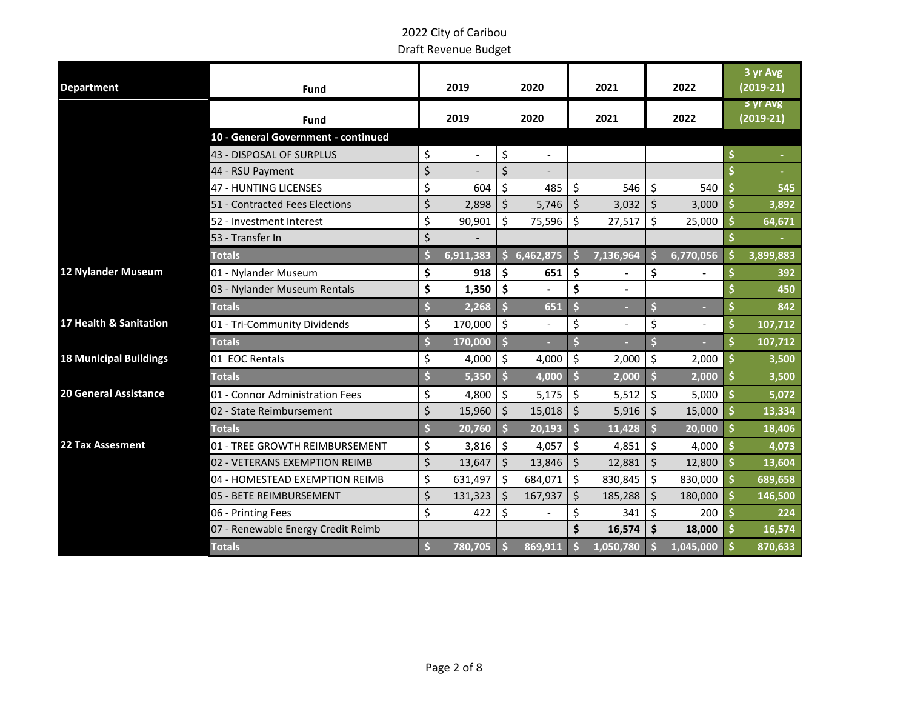| <b>Department</b>             | Fund                                | 2019<br>2020 |           |                     | 2021           |                       | 2022           |                     |           | 3 yr Avg<br>$(2019-21)$ |                         |
|-------------------------------|-------------------------------------|--------------|-----------|---------------------|----------------|-----------------------|----------------|---------------------|-----------|-------------------------|-------------------------|
|                               | Fund                                |              | 2019      |                     | 2020           | 2021                  |                | 2022                |           |                         | 3 yr Avg<br>$(2019-21)$ |
|                               | 10 - General Government - continued |              |           |                     |                |                       |                |                     |           |                         |                         |
|                               | 43 - DISPOSAL OF SURPLUS            | \$           |           | \$                  | $\overline{a}$ |                       |                |                     |           | \$                      |                         |
|                               | 44 - RSU Payment                    | \$           |           | \$                  | $\overline{a}$ |                       |                |                     |           | \$                      |                         |
|                               | 47 - HUNTING LICENSES               | \$           | 604       | \$                  | 485            | \$                    | 546            | \$                  | 540       | \$                      | 545                     |
|                               | 51 - Contracted Fees Elections      | \$           | 2,898     | \$                  | 5,746          | \$                    | 3,032          | $\zeta$             | 3,000     | \$                      | 3,892                   |
|                               | 52 - Investment Interest            | \$           | 90,901    | \$                  | 75,596         | \$                    | 27,517         | \$                  | 25,000    | \$                      | 64,671                  |
|                               | 53 - Transfer In                    | \$           |           |                     |                |                       |                |                     |           | \$                      |                         |
|                               | <b>Totals</b>                       | Ś            | 6,911,383 | Ś.                  | 6,462,875      |                       | 7,136,964      |                     | 6,770,056 | Ś                       | 3,899,883               |
| 12 Nylander Museum            | 01 - Nylander Museum                | \$           | 918       | \$                  | 651            | \$                    |                | \$                  |           | \$                      | 392                     |
|                               | 03 - Nylander Museum Rentals        | \$           | 1,350     | \$                  |                | \$                    | $\overline{a}$ |                     |           |                         | 450                     |
|                               | <b>Totals</b>                       | Ś            | 2,268     | Ŝ                   | 651            | \$                    |                | \$                  |           | \$                      | 842                     |
| 17 Health & Sanitation        | 01 - Tri-Community Dividends        | \$           | 170,000   | $\zeta$             |                | \$                    |                | \$                  |           | \$                      | 107,712                 |
|                               | <b>Totals</b>                       | \$           | 170,000   | $\ddot{\bm{\zeta}}$ |                | \$                    |                | \$                  |           |                         | 107,712                 |
| <b>18 Municipal Buildings</b> | 01 EOC Rentals                      | \$           | 4,000     | \$                  | 4,000          | \$                    | 2,000          | \$                  | 2,000     | \$                      | 3,500                   |
|                               | <b>Totals</b>                       | Ś            | 5,350     | $\ddot{\bm{\zeta}}$ | 4,000          | \$                    | 2,000          | $\ddot{\mathsf{s}}$ | 2,000     | \$                      | 3,500                   |
| <b>20 General Assistance</b>  | 01 - Connor Administration Fees     | \$           | 4,800     | \$                  | 5,175          | \$                    | 5,512          | \$                  | 5,000     | \$                      | 5,072                   |
|                               | 02 - State Reimbursement            | \$           | 15,960    | \$                  | 15,018         | $\zeta$               | 5,916          | $\zeta$             | 15,000    | \$                      | 13,334                  |
|                               | <b>Totals</b>                       | \$           | 20,760    | $\ddot{\bm{\zeta}}$ | 20,193         | $\mathsf{\mathsf{S}}$ | 11,428         | $\dot{\mathsf{s}}$  | 20,000    | $\dot{\mathsf{s}}$      | 18,406                  |
| 22 Tax Assesment              | 01 - TREE GROWTH REIMBURSEMENT      | \$           | 3,816     | \$                  | 4,057          | \$                    | 4,851          | \$                  | 4,000     | \$                      | 4,073                   |
|                               | 02 - VETERANS EXEMPTION REIMB       | \$           | 13,647    | \$                  | 13,846         | \$                    | 12,881         | $\zeta$             | 12,800    | \$                      | 13,604                  |
|                               | 04 - HOMESTEAD EXEMPTION REIMB      | \$           | 631,497   | \$                  | 684,071        | \$                    | 830,845        | \$                  | 830,000   | \$                      | 689,658                 |
|                               | 05 - BETE REIMBURSEMENT             | \$           | 131,323   |                     | 167,937        | \$                    | 185,288        | $\zeta$             | 180,000   | \$                      | 146,500                 |
|                               | 06 - Printing Fees                  | \$           | 422       | Ś                   |                | \$                    | 341            | \$                  | 200       |                         | 224                     |
|                               | 07 - Renewable Energy Credit Reimb  |              |           |                     |                | \$                    | 16,574         | \$                  | 18,000    | \$                      | 16,574                  |
|                               | <b>Totals</b>                       | \$           | 780,705   |                     | 869,911        |                       | 1,050,780      |                     | 1,045,000 |                         | 870,633                 |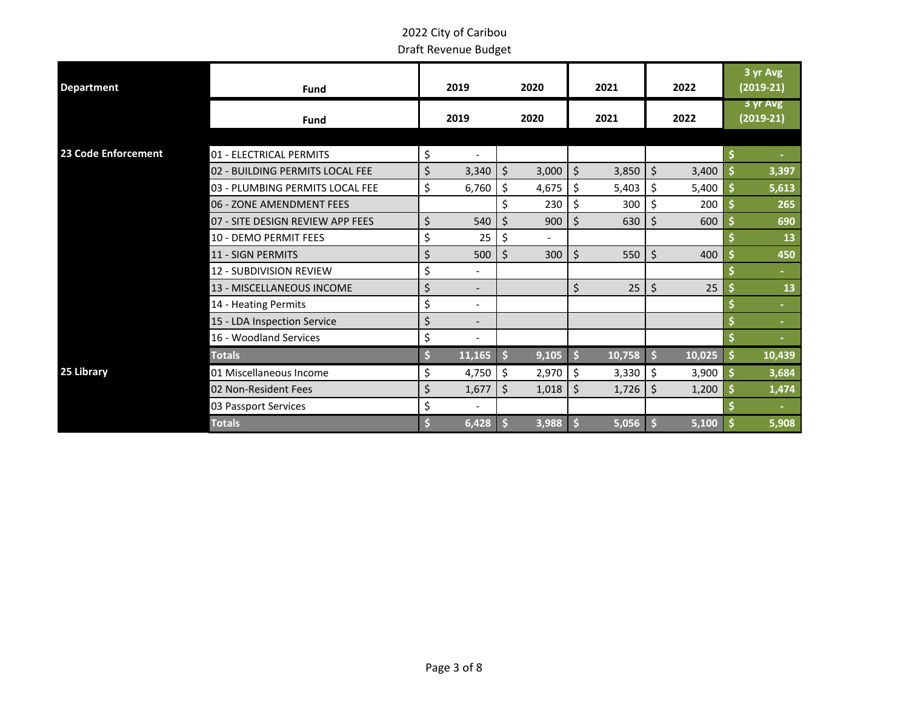| <b>Department</b>   | <b>Fund</b>                      |    | 2019   | 2020        |       | 2021 |        | 2022                |        |     | 3 yr Avg<br>$(2019-21)$ |
|---------------------|----------------------------------|----|--------|-------------|-------|------|--------|---------------------|--------|-----|-------------------------|
|                     | <b>Fund</b>                      |    | 2019   |             | 2020  | 2021 |        | 2022                |        |     | 3 yr Avg<br>$(2019-21)$ |
|                     |                                  |    |        |             |       |      |        |                     |        |     |                         |
| 23 Code Enforcement | 01 - ELECTRICAL PERMITS          | \$ |        |             |       |      |        |                     |        |     |                         |
|                     | 02 - BUILDING PERMITS LOCAL FEE  | \$ | 3,340  | $\zeta$     | 3,000 | \$   | 3,850  | $\zeta$             | 3,400  | \$. | 3,397                   |
|                     | 03 - PLUMBING PERMITS LOCAL FEE  | \$ | 6,760  | $\zeta$     | 4,675 | \$   | 5,403  | \$                  | 5,400  | \$  | 5,613                   |
|                     | 06 - ZONE AMENDMENT FEES         |    |        | \$          | 230   | \$   | 300    | \$                  | 200    |     | 265                     |
|                     | 07 - SITE DESIGN REVIEW APP FEES | \$ | 540    | $\varsigma$ | 900   | Ś    | 630    | \$                  | 600    | \$. | 690                     |
|                     | 10 - DEMO PERMIT FEES            | \$ | 25     | \$          |       |      |        |                     |        |     | 13                      |
|                     | 11 - SIGN PERMITS                | \$ | 500    | \$          | 300   | Ś.   | 550    | \$                  | 400    |     | 450                     |
|                     | 12 - SUBDIVISION REVIEW          | \$ |        |             |       |      |        |                     |        |     | $\sim$                  |
|                     | 13 - MISCELLANEOUS INCOME        | \$ |        |             |       | \$   | 25     | \$                  | 25     |     | 13                      |
|                     | 14 - Heating Permits             | \$ |        |             |       |      |        |                     |        |     |                         |
|                     | 15 - LDA Inspection Service      | \$ |        |             |       |      |        |                     |        |     | $\sim$                  |
|                     | 16 - Woodland Services           | \$ |        |             |       |      |        |                     |        |     |                         |
|                     | <b>Totals</b>                    | \$ | 11,165 |             | 9,105 |      | 10,758 | $\ddot{\mathsf{s}}$ | 10,025 | \$  | 10,439                  |
| 25 Library          | 01 Miscellaneous Income          | \$ | 4,750  | $\zeta$     | 2,970 | \$   | 3,330  | $\zeta$             | 3,900  | \$  | 3,684                   |
|                     | 02 Non-Resident Fees             | \$ | 1,677  | \$          | 1,018 | \$   | 1,726  | \$                  | 1,200  |     | 1,474                   |
|                     | 03 Passport Services             | \$ |        |             |       |      |        |                     |        |     |                         |
|                     | <b>Totals</b>                    | S  | 6,428  |             | 3,988 |      | 5,056  |                     | 5,100  |     | 5,908                   |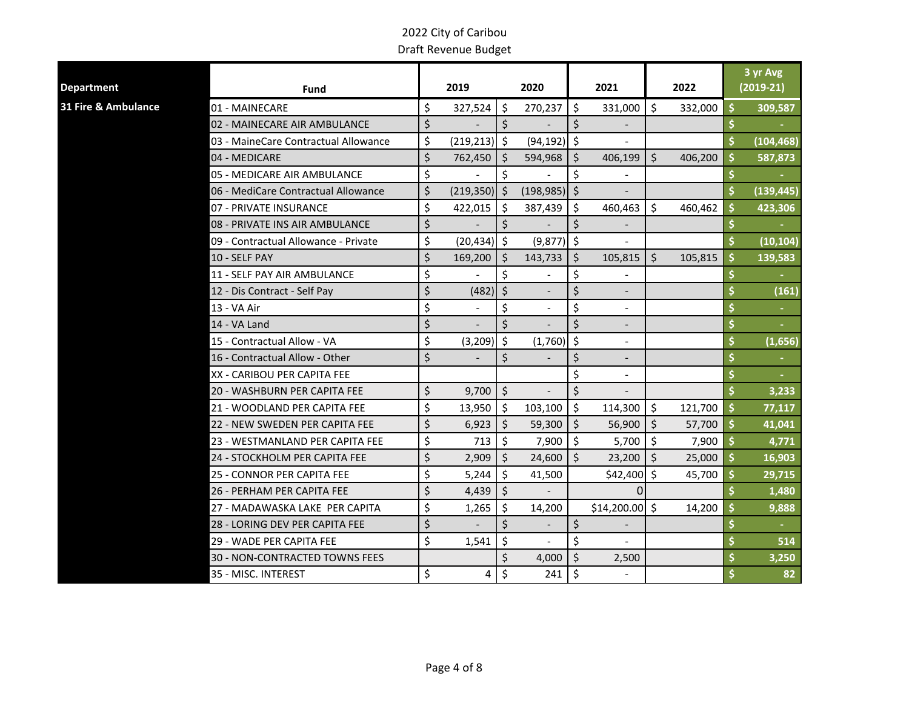| <b>Department</b>   | Fund                                 |         | 2019            |                    | 2020                     |            | 2021            |         | 2022    |     | 3 yr Avg<br>$(2019-21)$ |
|---------------------|--------------------------------------|---------|-----------------|--------------------|--------------------------|------------|-----------------|---------|---------|-----|-------------------------|
| 31 Fire & Ambulance | 01 - MAINECARE                       | \$      | 327,524         | \$                 | 270,237                  | \$         | 331,000         | \$      | 332,000 | \$  | 309,587                 |
|                     | 02 - MAINECARE AIR AMBULANCE         | $\zeta$ |                 | $\mathsf{\dot{S}}$ |                          | \$         |                 |         |         |     |                         |
|                     | 03 - MaineCare Contractual Allowance | \$      | $(219, 213)$ \$ |                    | $(94, 192)$ \$           |            |                 |         |         |     | (104, 468)              |
|                     | 04 - MEDICARE                        | $\zeta$ | 762,450         | \$                 | 594,968                  | \$         | 406,199         | $\zeta$ | 406,200 |     | 587,873                 |
|                     | 05 - MEDICARE AIR AMBULANCE          | \$      |                 | \$                 |                          | \$         |                 |         |         |     |                         |
|                     | 06 - MediCare Contractual Allowance  | $\zeta$ | $(219,350)$ \$  |                    | $(198,985)$ \$           |            |                 |         |         |     | (139, 445)              |
|                     | 07 - PRIVATE INSURANCE               | \$      | 422,015         | -Ś                 | 387,439                  | $\vert$ \$ | 460,463         | Ŝ.      | 460,462 | \$  | 423,306                 |
|                     | 08 - PRIVATE INS AIR AMBULANCE       | $\zeta$ |                 | $\zeta$            |                          | $\zeta$    |                 |         |         |     |                         |
|                     | 09 - Contractual Allowance - Private | \$      | $(20, 434)$ \$  |                    | (9,877)                  | \$         |                 |         |         |     | (10, 104)               |
|                     | 10 - SELF PAY                        | \$      | 169,200         | -Ś                 | 143,733                  | $\zeta$    | 105,815         | $\zeta$ | 105,815 | \$  | 139,583                 |
|                     | 11 - SELF PAY AIR AMBULANCE          | \$      |                 | \$                 |                          | \$         |                 |         |         |     |                         |
|                     | 12 - Dis Contract - Self Pay         | \$      | (482)           | $\zeta$            |                          | \$         |                 |         |         |     | (161)                   |
|                     | 13 - VA Air                          | \$      |                 | \$                 |                          | \$         |                 |         |         |     |                         |
|                     | 14 - VA Land                         | $\zeta$ |                 | \$                 |                          | \$         |                 |         |         |     |                         |
|                     | 15 - Contractual Allow - VA          | \$      | $(3,209)$ \$    |                    | $(1,760)$ \$             |            |                 |         |         |     | (1,656)                 |
|                     | 16 - Contractual Allow - Other       | $\zeta$ |                 | \$                 |                          | \$         |                 |         |         |     |                         |
|                     | XX - CARIBOU PER CAPITA FEE          |         |                 |                    |                          | \$         |                 |         |         |     |                         |
|                     | 20 - WASHBURN PER CAPITA FEE         | \$      | 9,700           | $\zeta$            |                          | $\zeta$    |                 |         |         |     | 3,233                   |
|                     | 21 - WOODLAND PER CAPITA FEE         | \$      | 13,950          | \$                 | 103,100                  | \$         | 114,300         | \$      | 121,700 | -\$ | 77,117                  |
|                     | 22 - NEW SWEDEN PER CAPITA FEE       | $\zeta$ | 6,923           | $\zeta$            | 59,300                   | $\vert$ \$ | 56,900          | $\zeta$ | 57,700  | \$  | 41,041                  |
|                     | 23 - WESTMANLAND PER CAPITA FEE      | \$      | 713             | Ś.                 | 7,900                    | l\$        | 5,700           | \$      | 7,900   |     | 4,771                   |
|                     | 24 - STOCKHOLM PER CAPITA FEE        | $\zeta$ | 2,909           | \$                 | 24,600                   | $\zeta$    | 23,200          | $\zeta$ | 25,000  |     | 16,903                  |
|                     | 25 - CONNOR PER CAPITA FEE           | \$      | 5,244           | \$                 | 41,500                   |            | $$42,400$ \$    |         | 45,700  | \$  | 29,715                  |
|                     | 26 - PERHAM PER CAPITA FEE           | \$      | 4,439           | Ŝ.                 |                          |            | $\Omega$        |         |         |     | 1,480                   |
|                     | 27 - MADAWASKA LAKE PER CAPITA       | \$      | 1,265           | Š.                 | 14,200                   |            | $$14,200.00$ \$ |         | 14,200  |     | 9,888                   |
|                     | 28 - LORING DEV PER CAPITA FEE       | $\zeta$ |                 | \$                 | $\overline{\phantom{a}}$ | \$         |                 |         |         |     |                         |
|                     | 29 - WADE PER CAPITA FEE             | \$      | 1,541           | \$                 |                          | \$         |                 |         |         |     | 514                     |
|                     | 30 - NON-CONTRACTED TOWNS FEES       |         |                 | \$                 | 4,000                    | $\zeta$    | 2,500           |         |         |     | 3,250                   |
|                     | 35 - MISC. INTEREST                  | \$      | 4               | \$                 | 241                      | \$         |                 |         |         |     | 82                      |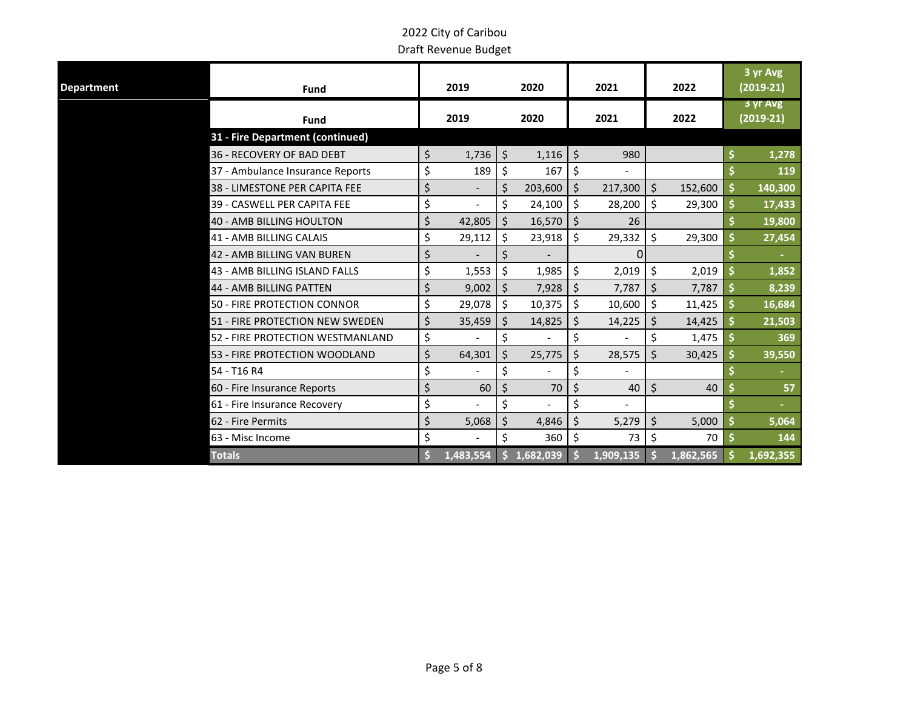| Department | <b>Fund</b>                      | 2019 |           |         | 2020      | 2021    |                |         | 2022      | 3 yr Avg<br>$(2019-21)$ |
|------------|----------------------------------|------|-----------|---------|-----------|---------|----------------|---------|-----------|-------------------------|
|            | <b>Fund</b>                      |      | 2019      |         | 2020      |         | 2021           |         | 2022      | 3 yr Avg<br>$(2019-21)$ |
|            | 31 - Fire Department (continued) |      |           |         |           |         |                |         |           |                         |
|            | 36 - RECOVERY OF BAD DEBT        | \$   | 1,736     | $\zeta$ | 1,116     | $\zeta$ | 980            |         |           | 1,278                   |
|            | 37 - Ambulance Insurance Reports | \$   | 189       | $\zeta$ | 167       | \$      | $\blacksquare$ |         |           | 119                     |
|            | 38 - LIMESTONE PER CAPITA FEE    | \$   |           | \$      | 203,600   | $\zeta$ | 217,300        | $\zeta$ | 152,600   | \$<br>140,300           |
|            | 39 - CASWELL PER CAPITA FEE      | \$   |           | \$      | 24,100    | \$      | 28,200         | \$      | 29,300    | \$<br>17,433            |
|            | 40 - AMB BILLING HOULTON         | \$   | 42,805    | $\zeta$ | 16,570    | $\zeta$ | 26             |         |           | 19,800                  |
|            | <b>41 - AMB BILLING CALAIS</b>   | \$   | 29,112    | $\zeta$ | 23,918    | \$      | 29,332         | \$      | 29,300    | \$<br>27,454            |
|            | 42 - AMB BILLING VAN BUREN       | \$   |           | \$      |           |         | 0              |         |           |                         |
|            | 43 - AMB BILLING ISLAND FALLS    | \$   | 1,553     | \$      | 1,985     | \$      | 2,019          | \$      | 2,019     | 1,852                   |
|            | <b>44 - AMB BILLING PATTEN</b>   | \$   | 9,002     | $\zeta$ | 7,928     | $\zeta$ | 7,787          | \$      | 7,787     | 8,239                   |
|            | 50 - FIRE PROTECTION CONNOR      | \$   | 29,078    | $\zeta$ | 10,375    | \$      | 10,600         | \$      | 11,425    | 16,684                  |
|            | 51 - FIRE PROTECTION NEW SWEDEN  | \$   | 35,459    | $\zeta$ | 14,825    | \$      | 14,225         | \$      | 14,425    | 21,503                  |
|            | 52 - FIRE PROTECTION WESTMANLAND | \$   |           | \$      |           | \$      |                | \$      | 1,475     | 369                     |
|            | 53 - FIRE PROTECTION WOODLAND    | \$   | 64,301    | \$      | 25,775    | \$      | 28,575         | Ś.      | 30,425    | 39,550                  |
|            | 54 - T16 R4                      | \$   |           | \$      |           | \$      |                |         |           |                         |
|            | 60 - Fire Insurance Reports      | \$   | 60        | \$      | 70        | \$      | 40             | $\zeta$ | 40        | 57                      |
|            | 61 - Fire Insurance Recovery     | \$   |           | \$      |           | \$      |                |         |           |                         |
|            | 62 - Fire Permits                | \$   | 5,068     | \$      | 4,846     | \$      | 5,279          | \$      | 5,000     | 5,064                   |
|            | 63 - Misc Income                 | \$   |           | \$      | 360       | \$      | 73             | \$      | 70        | 144                     |
|            | <b>Totals</b>                    |      | 1,483,554 |         | 1,682,039 |         | 1,909,135      |         | 1,862,565 | 1,692,355               |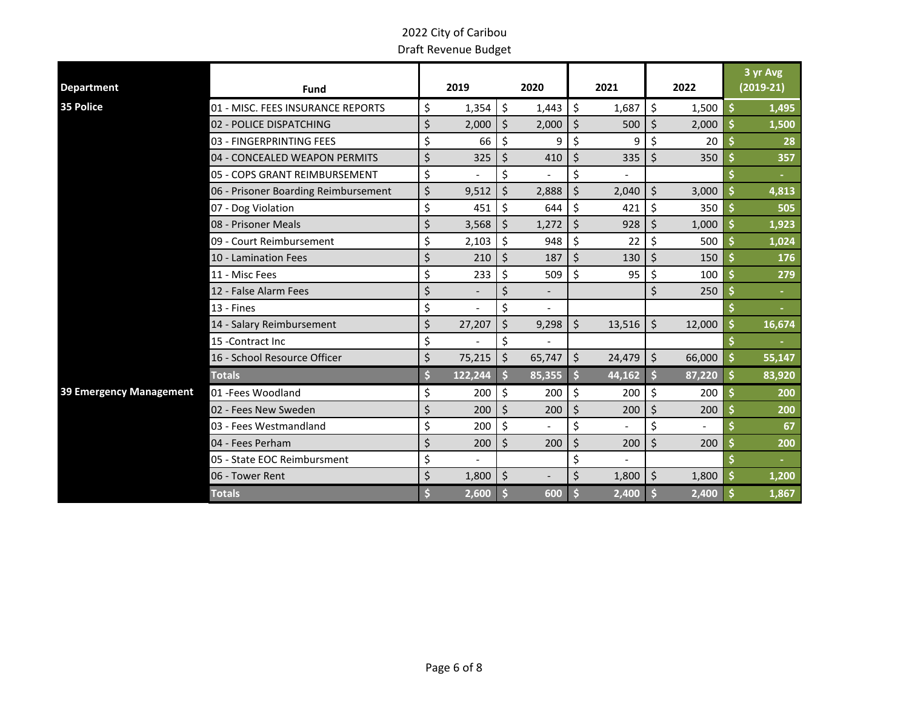| <b>Department</b>       | Fund                                 |    | 2019    |         | 2020                     |    | 2021                     |    | 2022   | 3 yr Avg<br>$(2019-21)$ |
|-------------------------|--------------------------------------|----|---------|---------|--------------------------|----|--------------------------|----|--------|-------------------------|
| 35 Police               | 01 - MISC. FEES INSURANCE REPORTS    | \$ | 1,354   | \$      | 1,443                    | \$ | 1,687                    | \$ | 1,500  | \$<br>1,495             |
|                         | 02 - POLICE DISPATCHING              | \$ | 2,000   | \$      | 2,000                    | \$ | 500                      | \$ | 2,000  | 1,500                   |
|                         | 03 - FINGERPRINTING FEES             | \$ | 66      | \$      | 9                        | \$ | 9                        | Ś  | 20     | 28                      |
|                         | 04 - CONCEALED WEAPON PERMITS        | \$ | 325     | \$      | 410                      | \$ | 335                      | \$ | 350    | 357                     |
|                         | 05 - COPS GRANT REIMBURSEMENT        | \$ |         | \$      |                          | \$ |                          |    |        |                         |
|                         | 06 - Prisoner Boarding Reimbursement | \$ | 9,512   | Ś       | 2,888                    | \$ | 2,040                    | \$ | 3,000  | 4,813                   |
|                         | 07 - Dog Violation                   | \$ | 451     | \$      | 644                      | \$ | 421                      | \$ | 350    | 505                     |
|                         | 08 - Prisoner Meals                  | \$ | 3,568   | \$      | 1,272                    | \$ | 928                      | Ś. | 1,000  | 1,923                   |
|                         | 09 - Court Reimbursement             | \$ | 2,103   | \$      | 948                      | \$ | 22                       | \$ | 500    | 1,024                   |
|                         | 10 - Lamination Fees                 | \$ | 210     | \$      | 187                      | Ś. | 130                      | Ś. | 150    | 176                     |
|                         | 11 - Misc Fees                       | \$ | 233     | \$      | 509                      | \$ | 95                       | \$ | 100    | 279                     |
|                         | 12 - False Alarm Fees                | \$ |         | Ś       | $\overline{\phantom{a}}$ |    |                          | Ś. | 250    | ٠                       |
|                         | $13 -$ Fines                         | \$ |         | \$      |                          |    |                          |    |        |                         |
|                         | 14 - Salary Reimbursement            | \$ | 27,207  | \$      | 9,298                    | \$ | 13,516                   | \$ | 12,000 | 16,674                  |
|                         | 15 - Contract Inc                    | \$ |         | \$      |                          |    |                          |    |        |                         |
|                         | 16 - School Resource Officer         | \$ | 75,215  | \$      | 65,747                   | \$ | 24,479                   | \$ | 66,000 | 55,147                  |
|                         | <b>Totals</b>                        |    | 122,244 | S       | 85,355                   |    | 44,162                   |    | 87,220 | 83,920                  |
| 39 Emergency Management | 01 - Fees Woodland                   | \$ | 200     | \$      | 200                      | \$ | 200                      | \$ | 200    | 200                     |
|                         | 02 - Fees New Sweden                 | \$ | 200     | $\zeta$ | 200                      | \$ | 200                      | \$ | 200    | 200                     |
|                         | 03 - Fees Westmandland               | \$ | 200     | \$      | $\overline{a}$           | \$ | $\overline{\phantom{0}}$ | \$ |        | 67                      |
|                         | 04 - Fees Perham                     | Ś  | 200     | \$      | 200                      | \$ | 200                      | \$ | 200    | 200                     |
|                         | 05 - State EOC Reimbursment          | \$ |         |         |                          | \$ |                          |    |        |                         |
|                         | 06 - Tower Rent                      | \$ | 1,800   | $\zeta$ |                          | \$ | 1,800                    | \$ | 1,800  | 1,200                   |
|                         | <b>Totals</b>                        |    | 2,600   |         | 600                      |    | 2,400                    |    | 2,400  | 1,867                   |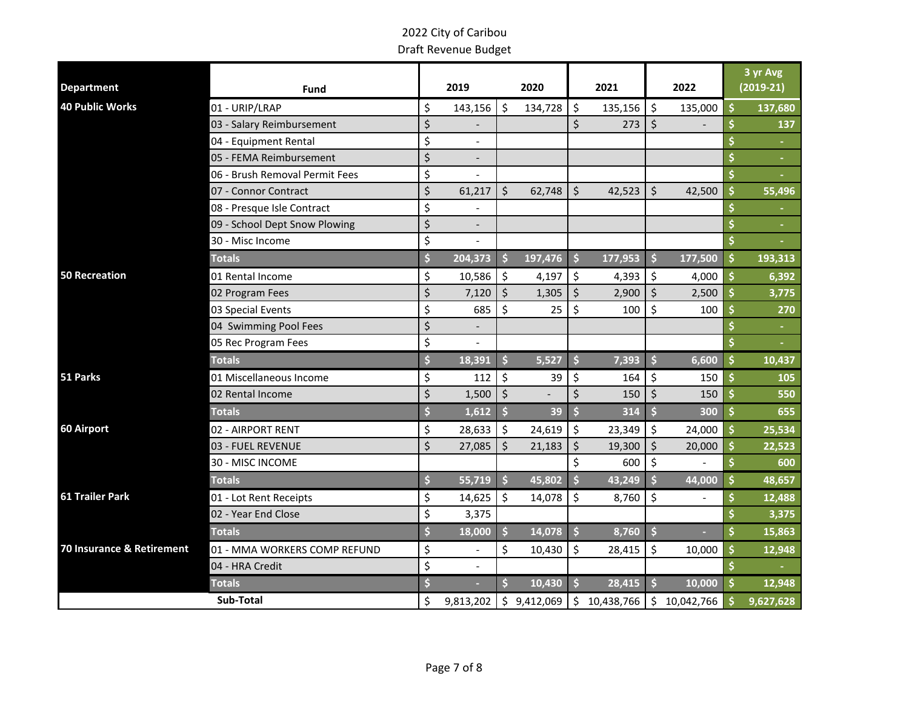|                           |                                |                                |                     |             |         |              |                    |              |         | 3 yr Avg    |
|---------------------------|--------------------------------|--------------------------------|---------------------|-------------|---------|--------------|--------------------|--------------|---------|-------------|
| <b>Department</b>         | <b>Fund</b>                    | 2019                           |                     | 2020        |         | 2021         |                    | 2022         |         | $(2019-21)$ |
| <b>40 Public Works</b>    | 01 - URIP/LRAP                 | \$<br>143,156                  | \$                  | 134,728     | \$      | 135,156      | \$                 | 135,000      | Ś       | 137,680     |
|                           | 03 - Salary Reimbursement      | \$                             |                     |             | \$      | 273          | $\zeta$            |              |         | 137         |
|                           | 04 - Equipment Rental          | \$                             |                     |             |         |              |                    |              | Ş       |             |
|                           | 05 - FEMA Reimbursement        | \$                             |                     |             |         |              |                    |              |         |             |
|                           | 06 - Brush Removal Permit Fees | \$                             |                     |             |         |              |                    |              | \$      |             |
|                           | 07 - Connor Contract           | \$<br>61,217                   | \$                  | 62,748      | \$      | 42,523       | $\zeta$            | 42,500       | Ś       | 55,496      |
|                           | 08 - Presque Isle Contract     | \$                             |                     |             |         |              |                    |              | \$      |             |
|                           | 09 - School Dept Snow Plowing  | \$<br>$\overline{\phantom{a}}$ |                     |             |         |              |                    |              |         | $\sim$      |
|                           | 30 - Misc Income               | \$                             |                     |             |         |              |                    |              | \$      |             |
|                           | <b>Totals</b>                  | \$<br>204,373                  | Ŝ.                  | 197,476     | \$      | 177,953      | Ŝ.                 | 177,500      | \$      | 193,313     |
| <b>50 Recreation</b>      | 01 Rental Income               | \$<br>10,586                   | \$                  | 4,197       | \$      | 4,393        | \$                 | 4,000        | \$      | 6,392       |
|                           | 02 Program Fees                | \$<br>7,120                    | \$                  | 1,305       | \$      | 2,900        | \$                 | 2,500        | \$      | 3,775       |
|                           | 03 Special Events              | \$<br>685                      | \$                  | 25          | \$      | 100          | \$                 | 100          | \$      | 270         |
|                           | 04 Swimming Pool Fees          | \$                             |                     |             |         |              |                    |              |         | $\sim$      |
|                           | 05 Rec Program Fees            | \$<br>$\overline{a}$           |                     |             |         |              |                    |              |         | $\sim$      |
|                           | <b>Totals</b>                  | \$<br>18,391                   | $\ddot{\mathsf{s}}$ | 5,527       | \$      | 7,393        | $\dot{\mathsf{s}}$ | 6,600        | \$      | 10,437      |
| 51 Parks                  | 01 Miscellaneous Income        | \$<br>112                      | \$                  | 39          | \$      | 164          | \$                 | 150          | Ś       | 105         |
|                           | 02 Rental Income               | \$<br>1,500                    | $\zeta$             |             | \$      | 150          | $\zeta$            | 150          | Ś       | 550         |
|                           | <b>Totals</b>                  | \$<br>1,612                    | $\ddot{\mathsf{s}}$ | 39          | \$      | 314          | $\mathsf{\hat{S}}$ | 300          | $\zeta$ | 655         |
| 60 Airport                | 02 - AIRPORT RENT              | \$<br>28,633                   | \$                  | 24,619      | \$      | 23,349       | \$                 | 24,000       | \$      | 25,534      |
|                           | 03 - FUEL REVENUE              | \$<br>27,085                   | \$                  | 21,183      | $\zeta$ | 19,300       | $\zeta$            | 20,000       | Ś       | 22,523      |
|                           | 30 - MISC INCOME               |                                |                     |             | \$      | 600          | $\zeta$            |              | \$      | 600         |
|                           | <b>Totals</b>                  | \$<br>55,719                   | Ŝ.                  | 45,802      | \$      | 43,249       | Ś                  | 44,000       | \$      | 48,657      |
| <b>61 Trailer Park</b>    | 01 - Lot Rent Receipts         | \$<br>14,625                   | \$                  | 14,078      | \$      | 8,760        | \$                 |              | \$      | 12,488      |
|                           | 02 - Year End Close            | \$<br>3,375                    |                     |             |         |              |                    |              |         | 3,375       |
|                           | <b>Totals</b>                  | \$<br>18,000                   | Ś                   | 14,078      | \$      | 8,760        | \$                 |              | \$      | 15,863      |
| 70 Insurance & Retirement | 01 - MMA WORKERS COMP REFUND   | \$                             | \$                  | 10,430      | \$      | 28,415       | \$                 | 10,000       | \$      | 12,948      |
|                           | 04 - HRA Credit                | \$                             |                     |             |         |              |                    |              |         |             |
|                           | <b>Totals</b>                  | \$<br>$\sim$                   | \$.                 | 10,430      | \$      | 28,415       | \$                 | 10,000       | \$      | 12,948      |
|                           | Sub-Total                      | \$<br>9,813,202                |                     | \$9,412,069 |         | \$10,438,766 |                    | \$10,042,766 |         | 9,627,628   |